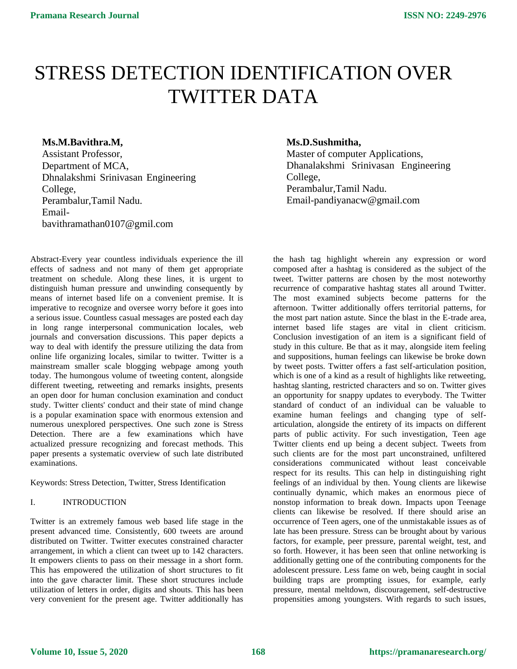# STRESS DETECTION IDENTIFICATION OVER TWITTER DATA

# **Ms.M.Bavithra.M,**

Assistant Professor, Department of MCA, Dhnalakshmi Srinivasan Engineering College, Perambalur,Tamil Nadu. Emailbavithramathan0107@gmil.com

Abstract-Every year countless individuals experience the ill effects of sadness and not many of them get appropriate treatment on schedule. Along these lines, it is urgent to distinguish human pressure and unwinding consequently by means of internet based life on a convenient premise. It is imperative to recognize and oversee worry before it goes into a serious issue. Countless casual messages are posted each day in long range interpersonal communication locales, web journals and conversation discussions. This paper depicts a way to deal with identify the pressure utilizing the data from online life organizing locales, similar to twitter. Twitter is a mainstream smaller scale blogging webpage among youth today. The humongous volume of tweeting content, alongside different tweeting, retweeting and remarks insights, presents an open door for human conclusion examination and conduct study. Twitter clients' conduct and their state of mind change is a popular examination space with enormous extension and numerous unexplored perspectives. One such zone is Stress Detection. There are a few examinations which have actualized pressure recognizing and forecast methods. This paper presents a systematic overview of such late distributed examinations.

Keywords: Stress Detection, Twitter, Stress Identification

# I. INTRODUCTION

Twitter is an extremely famous web based life stage in the present advanced time. Consistently, 600 tweets are around distributed on Twitter. Twitter executes constrained character arrangement, in which a client can tweet up to 142 characters. It empowers clients to pass on their message in a short form. This has empowered the utilization of short structures to fit into the gave character limit. These short structures include utilization of letters in order, digits and shouts. This has been very convenient for the present age. Twitter additionally has

# **Ms.D.Sushmitha,**

Master of computer Applications, Dhanalakshmi Srinivasan Engineering College, Perambalur,Tamil Nadu. Email-pandiyanacw@gmail.com

the hash tag highlight wherein any expression or word composed after a hashtag is considered as the subject of the tweet. Twitter patterns are chosen by the most noteworthy recurrence of comparative hashtag states all around Twitter. The most examined subjects become patterns for the afternoon. Twitter additionally offers territorial patterns, for the most part nation astute. Since the blast in the E-trade area, internet based life stages are vital in client criticism. Conclusion investigation of an item is a significant field of study in this culture. Be that as it may, alongside item feeling and suppositions, human feelings can likewise be broke down by tweet posts. Twitter offers a fast self-articulation position, which is one of a kind as a result of highlights like retweeting, hashtag slanting, restricted characters and so on. Twitter gives an opportunity for snappy updates to everybody. The Twitter standard of conduct of an individual can be valuable to examine human feelings and changing type of selfarticulation, alongside the entirety of its impacts on different parts of public activity. For such investigation, Teen age Twitter clients end up being a decent subject. Tweets from such clients are for the most part unconstrained, unfiltered considerations communicated without least conceivable respect for its results. This can help in distinguishing right feelings of an individual by then. Young clients are likewise continually dynamic, which makes an enormous piece of nonstop information to break down. Impacts upon Teenage clients can likewise be resolved. If there should arise an occurrence of Teen agers, one of the unmistakable issues as of late has been pressure. Stress can be brought about by various factors, for example, peer pressure, parental weight, test, and so forth. However, it has been seen that online networking is additionally getting one of the contributing components for the adolescent pressure. Less fame on web, being caught in social building traps are prompting issues, for example, early pressure, mental meltdown, discouragement, self-destructive propensities among youngsters. With regards to such issues,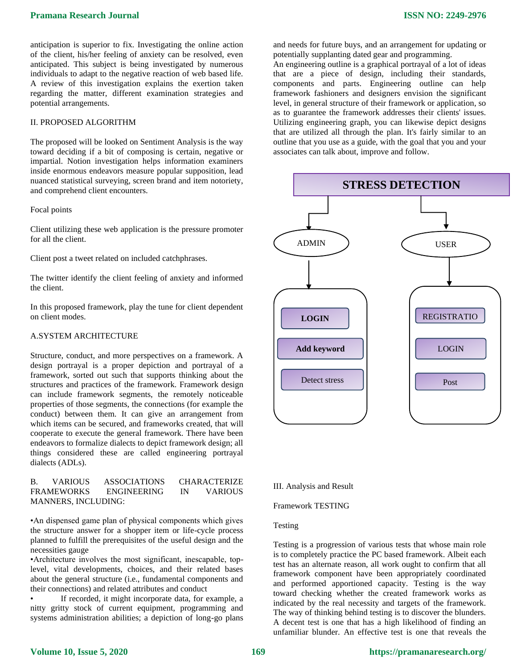anticipation is superior to fix. Investigating the online action of the client, his/her feeling of anxiety can be resolved, even anticipated. This subject is being investigated by numerous individuals to adapt to the negative reaction of web based life. A review of this investigation explains the exertion taken regarding the matter, different examination strategies and potential arrangements.

# II. PROPOSED ALGORITHM

The proposed will be looked on Sentiment Analysis is the way toward deciding if a bit of composing is certain, negative or impartial. Notion investigation helps information examiners inside enormous endeavors measure popular supposition, lead nuanced statistical surveying, screen brand and item notoriety, and comprehend client encounters.

#### Focal points

Client utilizing these web application is the pressure promoter for all the client.

Client post a tweet related on included catchphrases.

The twitter identify the client feeling of anxiety and informed the client.

In this proposed framework, play the tune for client dependent on client modes.

# A.SYSTEM ARCHITECTURE

Structure, conduct, and more perspectives on a framework. A design portrayal is a proper depiction and portrayal of a framework, sorted out such that supports thinking about the structures and practices of the framework. Framework design can include framework segments, the remotely noticeable properties of those segments, the connections (for example the conduct) between them. It can give an arrangement from which items can be secured, and frameworks created, that will cooperate to execute the general framework. There have been endeavors to formalize dialects to depict framework design; all things considered these are called engineering portrayal dialects (ADLs).

# B. VARIOUS ASSOCIATIONS CHARACTERIZE FRAMEWORKS ENGINEERING IN VARIOUS MANNERS, INCLUDING:

•An dispensed game plan of physical components which gives the structure answer for a shopper item or life-cycle process planned to fulfill the prerequisites of the useful design and the necessities gauge

•Architecture involves the most significant, inescapable, toplevel, vital developments, choices, and their related bases about the general structure (i.e., fundamental components and their connections) and related attributes and conduct

If recorded, it might incorporate data, for example, a nitty gritty stock of current equipment, programming and systems administration abilities; a depiction of long-go plans

and needs for future buys, and an arrangement for updating or potentially supplanting dated gear and programming.

An engineering outline is a graphical portrayal of a lot of ideas that are a piece of design, including their standards, components and parts. Engineering outline can help framework fashioners and designers envision the significant level, in general structure of their framework or application, so as to guarantee the framework addresses their clients' issues. Utilizing engineering graph, you can likewise depict designs that are utilized all through the plan. It's fairly similar to an outline that you use as a guide, with the goal that you and your associates can talk about, improve and follow.



#### III. Analysis and Result

## Framework TESTING

# Testing

Testing is a progression of various tests that whose main role is to completely practice the PC based framework. Albeit each test has an alternate reason, all work ought to confirm that all framework component have been appropriately coordinated and performed apportioned capacity. Testing is the way toward checking whether the created framework works as indicated by the real necessity and targets of the framework. The way of thinking behind testing is to discover the blunders. A decent test is one that has a high likelihood of finding an unfamiliar blunder. An effective test is one that reveals the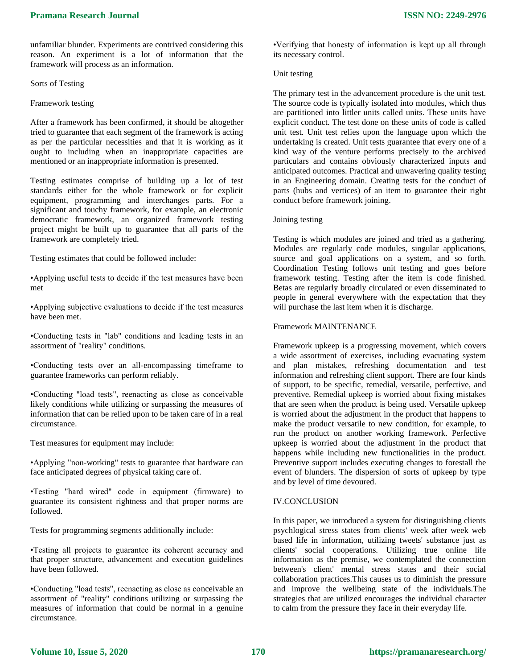unfamiliar blunder. Experiments are contrived considering this reason. An experiment is a lot of information that the framework will process as an information.

Sorts of Testing

Framework testing

After a framework has been confirmed, it should be altogether tried to guarantee that each segment of the framework is acting as per the particular necessities and that it is working as it ought to including when an inappropriate capacities are mentioned or an inappropriate information is presented.

Testing estimates comprise of building up a lot of test standards either for the whole framework or for explicit equipment, programming and interchanges parts. For a significant and touchy framework, for example, an electronic democratic framework, an organized framework testing project might be built up to guarantee that all parts of the framework are completely tried.

Testing estimates that could be followed include:

•Applying useful tests to decide if the test measures have been met

•Applying subjective evaluations to decide if the test measures have been met.

•Conducting tests in "lab" conditions and leading tests in an assortment of "reality" conditions.

•Conducting tests over an all-encompassing timeframe to guarantee frameworks can perform reliably.

•Conducting "load tests", reenacting as close as conceivable likely conditions while utilizing or surpassing the measures of information that can be relied upon to be taken care of in a real circumstance.

Test measures for equipment may include:

•Applying "non-working" tests to guarantee that hardware can face anticipated degrees of physical taking care of.

•Testing "hard wired" code in equipment (firmware) to guarantee its consistent rightness and that proper norms are followed.

Tests for programming segments additionally include:

•Testing all projects to guarantee its coherent accuracy and that proper structure, advancement and execution guidelines have been followed.

•Conducting "load tests", reenacting as close as conceivable an assortment of "reality" conditions utilizing or surpassing the measures of information that could be normal in a genuine circumstance.

•Verifying that honesty of information is kept up all through its necessary control.

# Unit testing

The primary test in the advancement procedure is the unit test. The source code is typically isolated into modules, which thus are partitioned into littler units called units. These units have explicit conduct. The test done on these units of code is called unit test. Unit test relies upon the language upon which the undertaking is created. Unit tests guarantee that every one of a kind way of the venture performs precisely to the archived particulars and contains obviously characterized inputs and anticipated outcomes. Practical and unwavering quality testing in an Engineering domain. Creating tests for the conduct of parts (hubs and vertices) of an item to guarantee their right conduct before framework joining.

#### Joining testing

Testing is which modules are joined and tried as a gathering. Modules are regularly code modules, singular applications, source and goal applications on a system, and so forth. Coordination Testing follows unit testing and goes before framework testing. Testing after the item is code finished. Betas are regularly broadly circulated or even disseminated to people in general everywhere with the expectation that they will purchase the last item when it is discharge.

#### Framework MAINTENANCE

Framework upkeep is a progressing movement, which covers a wide assortment of exercises, including evacuating system and plan mistakes, refreshing documentation and test information and refreshing client support. There are four kinds of support, to be specific, remedial, versatile, perfective, and preventive. Remedial upkeep is worried about fixing mistakes that are seen when the product is being used. Versatile upkeep is worried about the adjustment in the product that happens to make the product versatile to new condition, for example, to run the product on another working framework. Perfective upkeep is worried about the adjustment in the product that happens while including new functionalities in the product. Preventive support includes executing changes to forestall the event of blunders. The dispersion of sorts of upkeep by type and by level of time devoured.

## IV.CONCLUSION

In this paper, we introduced a system for distinguishing clients psychlogical stress states from clients' week after week web based life in information, utilizing tweets' substance just as clients' social cooperations. Utilizing true online life information as the premise, we contemplated the connection between's client' mental stress states and their social collaboration practices.This causes us to diminish the pressure and improve the wellbeing state of the individuals.The strategies that are utilized encourages the individual character to calm from the pressure they face in their everyday life.